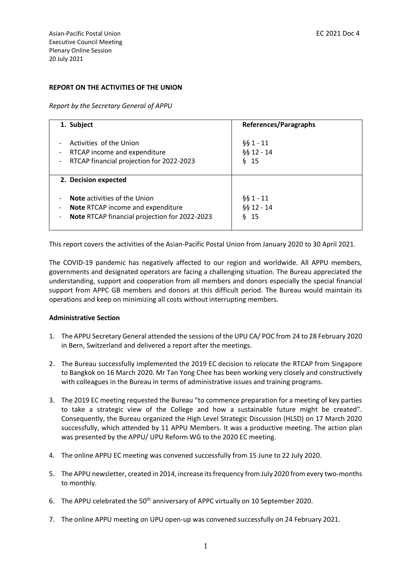# **REPORT ON THE ACTIVITIES OF THE UNION**

*Report by the Secretary General of APPU*

| 1. Subject                                                                                                                                                                                                    | <b>References/Paragraphs</b>            |
|---------------------------------------------------------------------------------------------------------------------------------------------------------------------------------------------------------------|-----------------------------------------|
| Activities of the Union<br>RTCAP income and expenditure<br>$\overline{\phantom{a}}$<br>RTCAP financial projection for 2022-2023<br>$\overline{\phantom{a}}$                                                   | $661 - 11$<br>§§ 12 - 14<br>$§$ 15      |
| 2. Decision expected                                                                                                                                                                                          |                                         |
| <b>Note</b> activities of the Union<br>$\overline{\phantom{a}}$<br>Note RTCAP income and expenditure<br>$\overline{\phantom{a}}$<br>Note RTCAP financial projection for 2022-2023<br>$\overline{\phantom{a}}$ | $§$ § 1 - 11<br>§§ 12 - 14<br>δ.<br>-15 |

This report covers the activities of the Asian-Pacific Postal Union from January 2020 to 30 April 2021.

The COVID-19 pandemic has negatively affected to our region and worldwide. All APPU members, governments and designated operators are facing a challenging situation. The Bureau appreciated the understanding, support and cooperation from all members and donors especially the special financial support from APPC GB members and donors at this difficult period. The Bureau would maintain its operations and keep on minimizing all costs without interrupting members.

# **Administrative Section**

- 1. The APPU Secretary General attended the sessions of the UPU CA/ POC from 24 to 28 February 2020 in Bern, Switzerland and delivered a report after the meetings.
- 2. The Bureau successfully implemented the 2019 EC decision to relocate the RTCAP from Singapore to Bangkok on 16 March 2020. Mr Tan Yong Chee has been working very closely and constructively with colleagues in the Bureau in terms of administrative issues and training programs.
- 3. The 2019 EC meeting requested the Bureau "to commence preparation for a meeting of key parties to take a strategic view of the College and how a sustainable future might be created". Consequently, the Bureau organized the High Level Strategic Discussion (HLSD) on 17 March 2020 successfully, which attended by 11 APPU Members. It was a productive meeting. The action plan was presented by the APPU/ UPU Reform WG to the 2020 EC meeting.
- 4. The online APPU EC meeting was convened successfully from 15 June to 22 July 2020.
- 5. The APPU newsletter, created in 2014, increase its frequency from July 2020 from every two-months to monthly.
- 6. The APPU celebrated the 50<sup>th</sup> anniversary of APPC virtually on 10 September 2020.
- 7. The online APPU meeting on UPU open-up was convened successfully on 24 February 2021.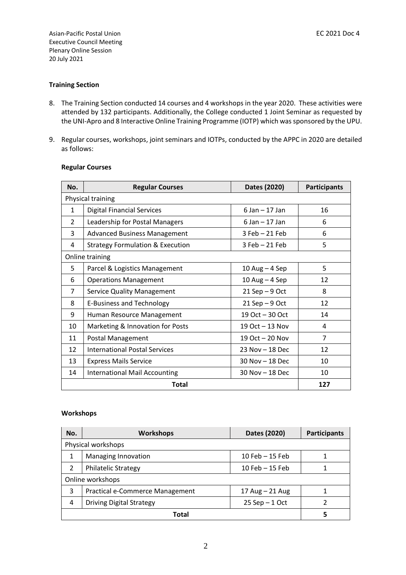### **Training Section**

- 8. The Training Section conducted 14 courses and 4 workshops in the year 2020. These activities were attended by 132 participants. Additionally, the College conducted 1 Joint Seminar as requested by the UNI-Apro and 8 Interactive Online Training Programme (IOTP) which was sponsored by the UPU.
- 9. Regular courses, workshops, joint seminars and IOTPs, conducted by the APPC in 2020 are detailed as follows:

| No.               | <b>Regular Courses</b>                      | Dates (2020)        | <b>Participants</b> |
|-------------------|---------------------------------------------|---------------------|---------------------|
| Physical training |                                             |                     |                     |
| $\mathbf{1}$      | <b>Digital Financial Services</b>           | $6$ Jan $-$ 17 Jan  | 16                  |
| $\mathcal{P}$     | Leadership for Postal Managers              | $6$ Jan $-$ 17 Jan  | 6                   |
| 3                 | <b>Advanced Business Management</b>         | 3 Feb - 21 Feb      | 6                   |
| 4                 | <b>Strategy Formulation &amp; Execution</b> | $3$ Feb $-21$ Feb   | 5                   |
|                   | Online training                             |                     |                     |
| 5                 | Parcel & Logistics Management               | $10$ Aug $-$ 4 Sep  | 5                   |
| 6                 | <b>Operations Management</b>                | $10$ Aug $-$ 4 Sep  | 12                  |
| 7                 | <b>Service Quality Management</b>           | $21$ Sep $-9$ Oct   | 8                   |
| 8                 | <b>E-Business and Technology</b>            | $21$ Sep $-9$ Oct   | 12                  |
| 9                 | Human Resource Management                   | 19 Oct - 30 Oct     | 14                  |
| 10                | Marketing & Innovation for Posts            | 19 Oct $-$ 13 Nov   | 4                   |
| 11                | Postal Management                           | 19 Oct $-$ 20 Nov   | $\overline{7}$      |
| 12                | <b>International Postal Services</b>        | 23 Nov - 18 Dec     | 12                  |
| 13                | <b>Express Mails Service</b>                | $30$ Nov $-$ 18 Dec | 10                  |
| 14                | <b>International Mail Accounting</b>        | $30$ Nov $-$ 18 Dec | 10                  |
|                   | <b>Total</b>                                |                     | 127                 |

#### **Regular Courses**

#### **Workshops**

| No.              | <b>Workshops</b>                | Dates (2020)       | <b>Participants</b> |
|------------------|---------------------------------|--------------------|---------------------|
|                  | Physical workshops              |                    |                     |
| 1                | Managing Innovation             | $10$ Feb $-15$ Feb |                     |
| $\mathcal{P}$    | <b>Philatelic Strategy</b>      | $10$ Feb $-15$ Feb |                     |
| Online workshops |                                 |                    |                     |
| 3                | Practical e-Commerce Management | 17 Aug - 21 Aug    |                     |
| 4                | <b>Driving Digital Strategy</b> | $25$ Sep $-1$ Oct  | 2                   |
|                  | Total                           |                    |                     |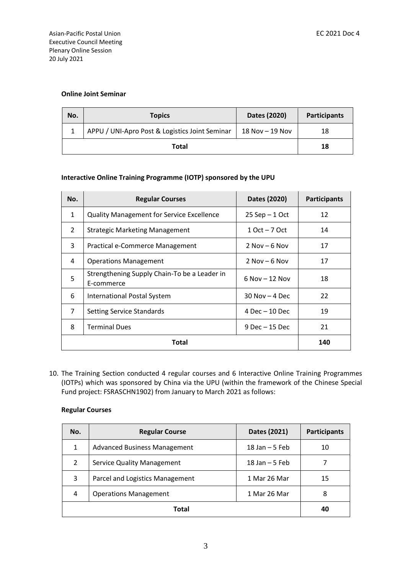# **Online Joint Seminar**

| No.   | <b>Topics</b>                                  | Dates (2020)       | <b>Participants</b> |
|-------|------------------------------------------------|--------------------|---------------------|
|       | APPU / UNI-Apro Post & Logistics Joint Seminar | $18$ Nov $ 19$ Nov | 18                  |
| Total |                                                | 18                 |                     |

# **Interactive Online Training Programme (IOTP) sponsored by the UPU**

| No.            | <b>Regular Courses</b>                                     | Dates (2020)       | <b>Participants</b> |
|----------------|------------------------------------------------------------|--------------------|---------------------|
| $\mathbf{1}$   | <b>Quality Management for Service Excellence</b>           | $25$ Sep $-1$ Oct  | 12                  |
| $\overline{2}$ | <b>Strategic Marketing Management</b>                      | $10ct - 70ct$      | 14                  |
| 3              | Practical e-Commerce Management                            | $2$ Nov $-6$ Nov   | 17                  |
| 4              | <b>Operations Management</b>                               | $2$ Nov – 6 Nov    | 17                  |
| 5              | Strengthening Supply Chain-To be a Leader in<br>E-commerce | $6$ Nov $-$ 12 Nov | 18                  |
| 6              | International Postal System                                | $30$ Nov $-4$ Dec  | 22                  |
| $\overline{7}$ | Setting Service Standards                                  | $4$ Dec $-$ 10 Dec | 19                  |
| 8              | <b>Terminal Dues</b>                                       | $9$ Dec $-15$ Dec  | 21                  |
|                | Total                                                      |                    | 140                 |

10. The Training Section conducted 4 regular courses and 6 Interactive Online Training Programmes (IOTPs) which was sponsored by China via the UPU (within the framework of the Chinese Special Fund project: FSRASCHN1902) from January to March 2021 as follows:

# **Regular Courses**

| No.           | <b>Regular Course</b>               | Dates (2021)      | <b>Participants</b> |
|---------------|-------------------------------------|-------------------|---------------------|
| 1             | <b>Advanced Business Management</b> | 18 Jan $-5$ Feb   | 10                  |
| $\mathcal{P}$ | <b>Service Quality Management</b>   | $18$ Jan $-5$ Feb |                     |
| 3             | Parcel and Logistics Management     | 1 Mar 26 Mar      | 15                  |
| 4             | <b>Operations Management</b>        | 1 Mar 26 Mar      | 8                   |
|               | Total                               |                   | 40                  |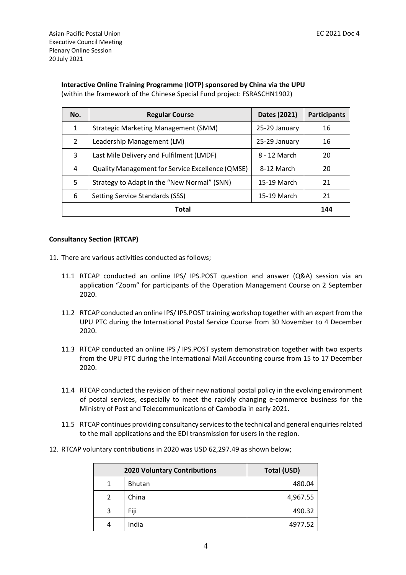| Interactive Online Training Programme (IOTP) sponsored by China via the UPU |
|-----------------------------------------------------------------------------|
| (within the framework of the Chinese Special Fund project: FSRASCHN1902)    |

| No.           | <b>Regular Course</b>                                   | Dates (2021)  | <b>Participants</b> |
|---------------|---------------------------------------------------------|---------------|---------------------|
| 1             | Strategic Marketing Management (SMM)                    | 25-29 January | 16                  |
| $\mathcal{P}$ | Leadership Management (LM)                              | 25-29 January | 16                  |
| 3             | Last Mile Delivery and Fulfilment (LMDF)                | 8 - 12 March  | 20                  |
| 4             | <b>Quality Management for Service Excellence (QMSE)</b> | 8-12 March    | 20                  |
| 5             | Strategy to Adapt in the "New Normal" (SNN)             | 15-19 March   | 21                  |
| 6             | Setting Service Standards (SSS)                         | 15-19 March   | 21                  |
| Total         |                                                         | 144           |                     |

#### **Consultancy Section (RTCAP)**

- 11. There are various activities conducted as follows;
	- 11.1 RTCAP conducted an online IPS/ IPS.POST question and answer (Q&A) session via an application "Zoom" for participants of the Operation Management Course on 2 September 2020.
	- 11.2 RTCAP conducted an online IPS/ IPS.POST training workshop together with an expert from the UPU PTC during the International Postal Service Course from 30 November to 4 December 2020.
	- 11.3 RTCAP conducted an online IPS / IPS.POST system demonstration together with two experts from the UPU PTC during the International Mail Accounting course from 15 to 17 December 2020.
	- 11.4 RTCAP conducted the revision of their new national postal policy in the evolving environment of postal services, especially to meet the rapidly changing e-commerce business for the Ministry of Post and Telecommunications of Cambodia in early 2021.
	- 11.5 RTCAP continues providing consultancy services to the technical and general enquiriesrelated to the mail applications and the EDI transmission for users in the region.
- 12. RTCAP voluntary contributions in 2020 was USD 62,297.49 as shown below;

|               | <b>2020 Voluntary Contributions</b> | Total (USD) |
|---------------|-------------------------------------|-------------|
| 1             | <b>Bhutan</b>                       | 480.04      |
| $\mathcal{P}$ | China                               | 4,967.55    |
| 3             | Fiji                                | 490.32      |
| 4             | India                               | 4977.52     |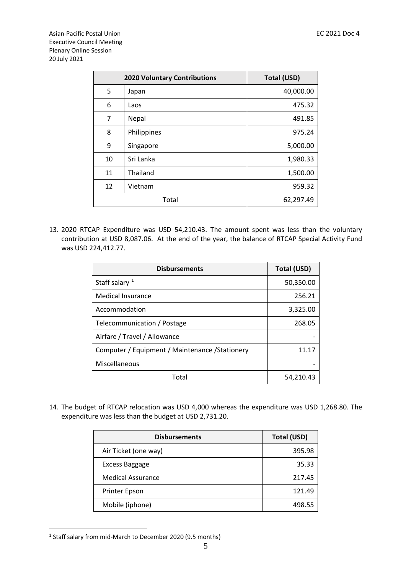|    | <b>2020 Voluntary Contributions</b> | <b>Total (USD)</b> |
|----|-------------------------------------|--------------------|
| 5  | Japan                               | 40,000.00          |
| 6  | Laos                                | 475.32             |
| 7  | Nepal                               | 491.85             |
| 8  | Philippines                         | 975.24             |
| 9  | Singapore                           | 5,000.00           |
| 10 | Sri Lanka                           | 1,980.33           |
| 11 | Thailand                            | 1,500.00           |
| 12 | Vietnam                             | 959.32             |
|    | Total                               | 62,297.49          |

13. 2020 RTCAP Expenditure was USD 54,210.43. The amount spent was less than the voluntary contribution at USD 8,087.06. At the end of the year, the balance of RTCAP Special Activity Fund was USD 224,412.77.

| <b>Disbursements</b>                            | <b>Total (USD)</b> |
|-------------------------------------------------|--------------------|
| Staff salary $1$                                | 50,350.00          |
| Medical Insurance                               | 256.21             |
| Accommodation                                   | 3,325.00           |
| Telecommunication / Postage                     | 268.05             |
| Airfare / Travel / Allowance                    |                    |
| Computer / Equipment / Maintenance / Stationery | 11.17              |
| Miscellaneous                                   |                    |
| Total                                           | 54,210.43          |

14. The budget of RTCAP relocation was USD 4,000 whereas the expenditure was USD 1,268.80. The expenditure was less than the budget at USD 2,731.20.

| <b>Disbursements</b>     | Total (USD) |
|--------------------------|-------------|
| Air Ticket (one way)     | 395.98      |
| <b>Excess Baggage</b>    | 35.33       |
| <b>Medical Assurance</b> | 217.45      |
| <b>Printer Epson</b>     | 121.49      |
| Mobile (iphone)          | 498.55      |

<sup>1</sup> Staff salary from mid-March to December 2020 (9.5 months)